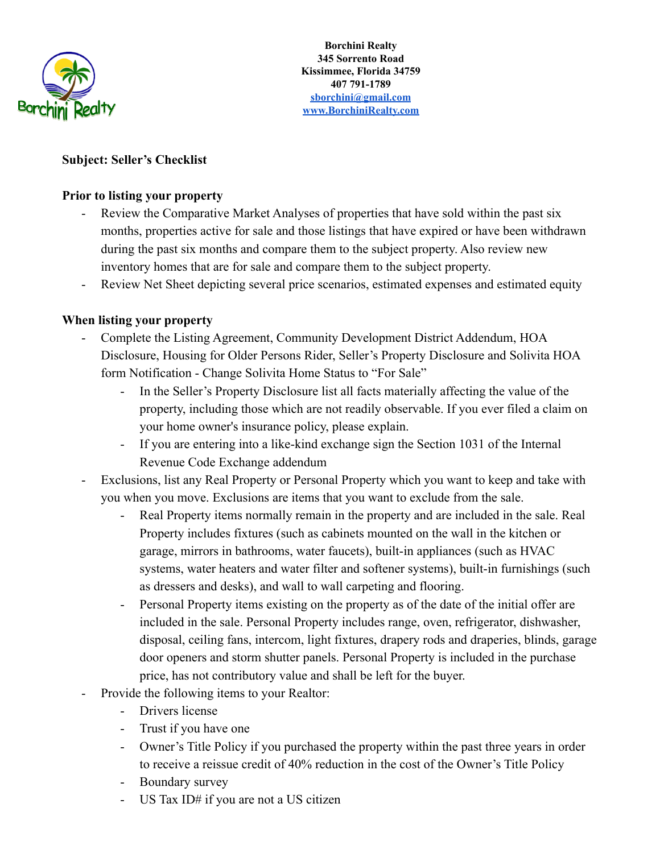

### **Subject: Seller's Checklist**

#### **Prior to listing your property**

- Review the Comparative Market Analyses of properties that have sold within the past six months, properties active for sale and those listings that have expired or have been withdrawn during the past six months and compare them to the subject property. Also review new inventory homes that are for sale and compare them to the subject property.
- Review Net Sheet depicting several price scenarios, estimated expenses and estimated equity

#### **When listing your property**

- Complete the Listing Agreement, Community Development District Addendum, HOA Disclosure, Housing for Older Persons Rider, Seller's Property Disclosure and Solivita HOA form Notification - Change Solivita Home Status to "For Sale"
	- In the Seller's Property Disclosure list all facts materially affecting the value of the property, including those which are not readily observable. If you ever filed a claim on your home owner's insurance policy, please explain.
	- If you are entering into a like-kind exchange sign the Section 1031 of the Internal Revenue Code Exchange addendum
- Exclusions, list any Real Property or Personal Property which you want to keep and take with you when you move. Exclusions are items that you want to exclude from the sale.
	- Real Property items normally remain in the property and are included in the sale. Real Property includes fixtures (such as cabinets mounted on the wall in the kitchen or garage, mirrors in bathrooms, water faucets), built-in appliances (such as HVAC systems, water heaters and water filter and softener systems), built-in furnishings (such as dressers and desks), and wall to wall carpeting and flooring.
	- Personal Property items existing on the property as of the date of the initial offer are included in the sale. Personal Property includes range, oven, refrigerator, dishwasher, disposal, ceiling fans, intercom, light fixtures, drapery rods and draperies, blinds, garage door openers and storm shutter panels. Personal Property is included in the purchase price, has not contributory value and shall be left for the buyer.
- Provide the following items to your Realtor:
	- Drivers license
	- Trust if you have one
	- Owner's Title Policy if you purchased the property within the past three years in order to receive a reissue credit of 40% reduction in the cost of the Owner's Title Policy
	- Boundary survey
	- US Tax ID# if you are not a US citizen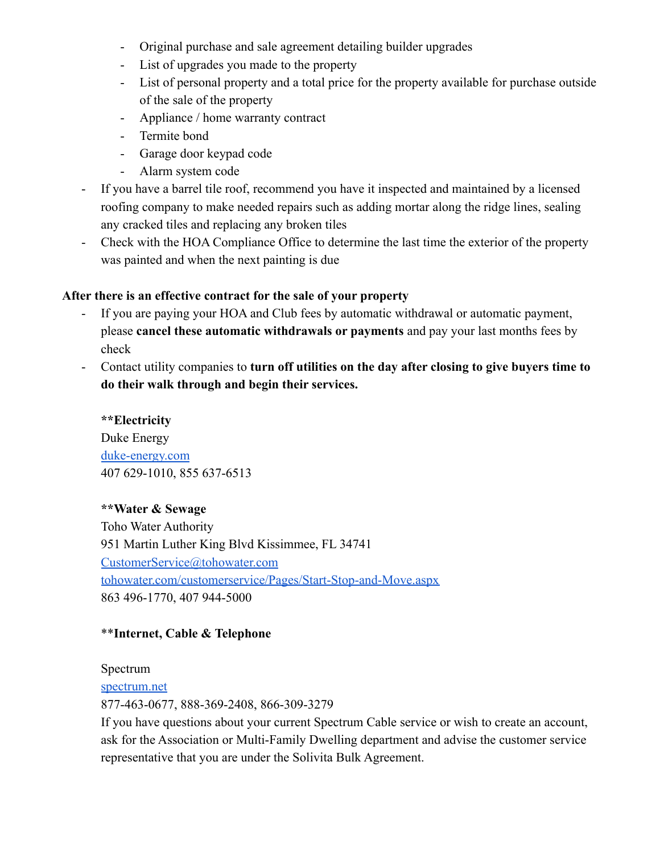- Original purchase and sale agreement detailing builder upgrades
- List of upgrades you made to the property
- List of personal property and a total price for the property available for purchase outside of the sale of the property
- Appliance / home warranty contract
- Termite bond
- Garage door keypad code
- Alarm system code
- If you have a barrel tile roof, recommend you have it inspected and maintained by a licensed roofing company to make needed repairs such as adding mortar along the ridge lines, sealing any cracked tiles and replacing any broken tiles
- Check with the HOA Compliance Office to determine the last time the exterior of the property was painted and when the next painting is due

## **After there is an effective contract for the sale of your property**

- If you are paying your HOA and Club fees by automatic withdrawal or automatic payment, please **cancel these automatic withdrawals or payments** and pay your last months fees by check
- Contact utility companies to **turn off utilities on the day after closing to give buyers time to do their walk through and begin their services.**

**\*\*Electricity** Duke Energy [duke-energy.com](http://duke-energy.com/) 407 629-1010, 855 637-6513

## **\*\*Water & Sewage**

Toho Water Authority 951 Martin Luther King Blvd Kissimmee, FL 34741 [CustomerService@tohowater.com](mailto:CustomerService@tohowater.com) [tohowater.com/customerservice/Pages/Start-Stop-and-Move.aspx](https://www.tohowater.com/customerservice/Pages/Start-Stop-and-Move.aspx) 863 496-1770, 407 944-5000

## \*\***Internet, Cable & Telephone**

Spectrum

[spectrum.net](https://www.spectrum.net)

877-463-0677, 888-369-2408, 866-309-3279

If you have questions about your current Spectrum Cable service or wish to create an account, ask for the Association or Multi-Family Dwelling department and advise the customer service representative that you are under the Solivita Bulk Agreement.